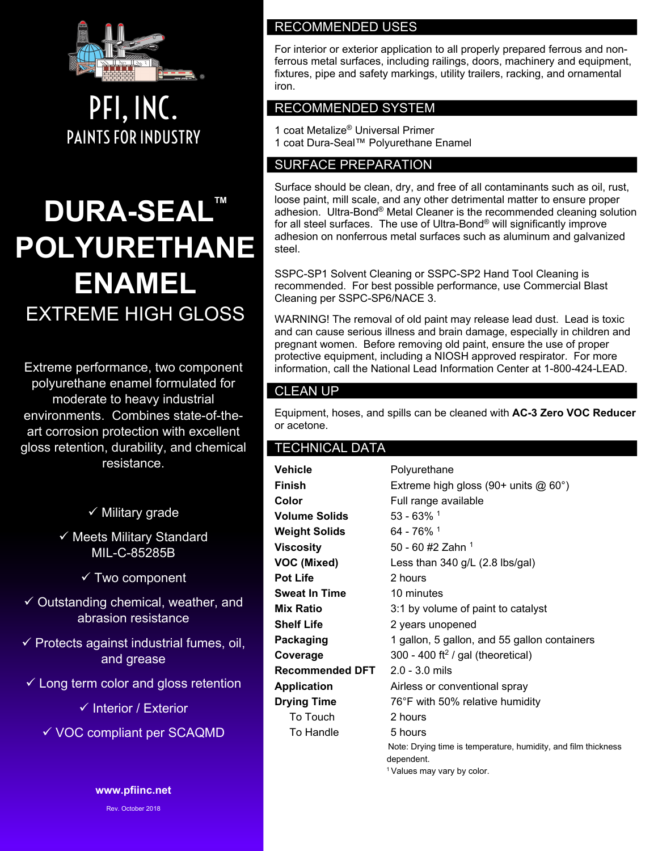

PFI, INC. PAINTS FOR INDUSTRY

# **DURA-SEALT POLYURETHANE ENAMEL** EXTREME HIGH GLOSS

Extreme performance, two component polyurethane enamel formulated for moderate to heavy industrial environments. Combines state-of-theart corrosion protection with excellent gloss retention, durability, and chemical resistance.

 $\checkmark$  Military grade

 $\checkmark$  Meets Military Standard MIL-C-85285B

 $\checkmark$  Two component

 $\checkmark$  Outstanding chemical, weather, and abrasion resistance

 $\checkmark$  Protects against industrial fumes, oil, and grease

 $\checkmark$  Long term color and gloss retention

 $\checkmark$  Interior / Exterior

 $\checkmark$  VOC compliant per SCAQMD

**www.pfiinc.net**

Rev. October 2018

#### RECOMMENDED USES

For interior or exterior application to all properly prepared ferrous and nonferrous metal surfaces, including railings, doors, machinery and equipment, fixtures, pipe and safety markings, utility trailers, racking, and ornamental iron.

## RECOMMENDED SYSTEM

1 coat Metalize® Universal Primer 1 coat Dura-Seal™ Polyurethane Enamel

#### SURFACE PREPARATION

Surface should be clean, dry, and free of all contaminants such as oil, rust, loose paint, mill scale, and any other detrimental matter to ensure proper adhesion. Ultra-Bond® Metal Cleaner is the recommended cleaning solution for all steel surfaces. The use of Ultra-Bond® will significantly improve adhesion on nonferrous metal surfaces such as aluminum and galvanized steel.

SSPC-SP1 Solvent Cleaning or SSPC-SP2 Hand Tool Cleaning is recommended. For best possible performance, use Commercial Blast Cleaning per SSPC-SP6/NACE 3.

WARNING! The removal of old paint may release lead dust. Lead is toxic and can cause serious illness and brain damage, especially in children and pregnant women. Before removing old paint, ensure the use of proper protective equipment, including a NIOSH approved respirator. For more information, call the National Lead Information Center at 1-800-424-LEAD.

#### CLEAN UP

Equipment, hoses, and spills can be cleaned with **AC-3 Zero VOC Reducer** or acetone.

#### TECHNICAL DATA

| Vehicle              | Polyurethane                                                                 |
|----------------------|------------------------------------------------------------------------------|
| Finish               | Extreme high gloss (90+ units $@60°$ )                                       |
| Color                | Full range available                                                         |
| <b>Volume Solids</b> | $53 - 63\%$ <sup>1</sup>                                                     |
| Weight Solids        | 64 - 76% 1                                                                   |
| Viscosity            | 50 - 60 #2 Zahn 1                                                            |
| VOC (Mixed)          | Less than $340$ g/L (2.8 lbs/gal)                                            |
| Pot Life             | 2 hours                                                                      |
| Sweat In Time        | 10 minutes                                                                   |
| Mix Ratio            | 3:1 by volume of paint to catalyst                                           |
| Shelf Life           | 2 years unopened                                                             |
| Packaging            | 1 gallon, 5 gallon, and 55 gallon containers                                 |
| Coverage             | 300 - 400 ft <sup>2</sup> / gal (theoretical)                                |
| Recommended DFT      | $2.0 - 3.0$ mils                                                             |
| <b>Application</b>   | Airless or conventional spray                                                |
| <b>Drying Time</b>   | 76°F with 50% relative humidity                                              |
| To Touch             | 2 hours                                                                      |
| To Handle            | 5 hours                                                                      |
|                      | Note: Drying time is temperature, humidity, and film thickness<br>dependent. |
|                      | <sup>1</sup> Values may vary by color.                                       |